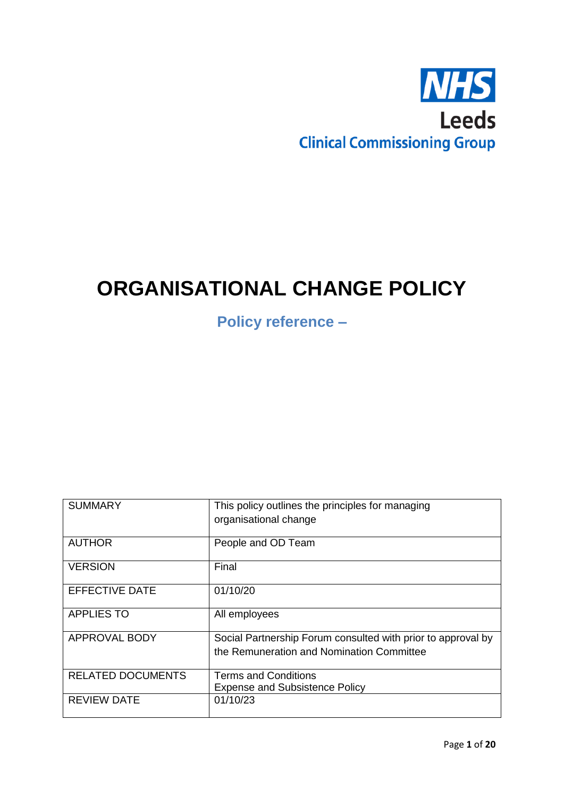

# **ORGANISATIONAL CHANGE POLICY**

**Policy reference –**

| <b>SUMMARY</b>           | This policy outlines the principles for managing<br>organisational change                                 |
|--------------------------|-----------------------------------------------------------------------------------------------------------|
| <b>AUTHOR</b>            | People and OD Team                                                                                        |
| <b>VERSION</b>           | Final                                                                                                     |
| <b>EFFECTIVE DATE</b>    | 01/10/20                                                                                                  |
| <b>APPLIES TO</b>        | All employees                                                                                             |
| <b>APPROVAL BODY</b>     | Social Partnership Forum consulted with prior to approval by<br>the Remuneration and Nomination Committee |
|                          |                                                                                                           |
| <b>RELATED DOCUMENTS</b> | <b>Terms and Conditions</b><br><b>Expense and Subsistence Policy</b>                                      |
| <b>REVIEW DATE</b>       | 01/10/23                                                                                                  |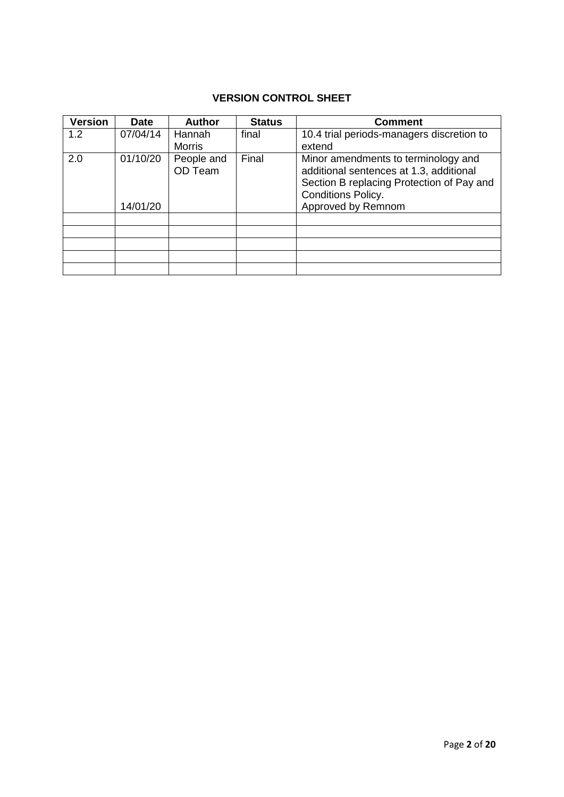## **VERSION CONTROL SHEET**

| <b>Version</b> | <b>Date</b> | <b>Author</b>         | <b>Status</b> | <b>Comment</b>                                                                                                                                           |  |
|----------------|-------------|-----------------------|---------------|----------------------------------------------------------------------------------------------------------------------------------------------------------|--|
| 1.2            | 07/04/14    | Hannah                | final         | 10.4 trial periods-managers discretion to                                                                                                                |  |
|                |             | <b>Morris</b>         |               | extend                                                                                                                                                   |  |
| 2.0            | 01/10/20    | People and<br>OD Team | Final         | Minor amendments to terminology and<br>additional sentences at 1.3, additional<br>Section B replacing Protection of Pay and<br><b>Conditions Policy.</b> |  |
|                | 14/01/20    |                       |               | Approved by Remnom                                                                                                                                       |  |
|                |             |                       |               |                                                                                                                                                          |  |
|                |             |                       |               |                                                                                                                                                          |  |
|                |             |                       |               |                                                                                                                                                          |  |
|                |             |                       |               |                                                                                                                                                          |  |
|                |             |                       |               |                                                                                                                                                          |  |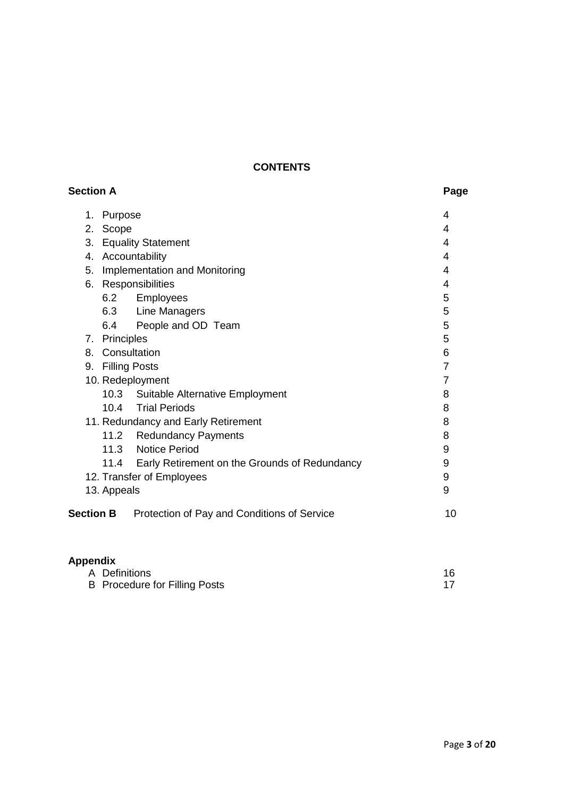## **CONTENTS**

| <b>Section A</b>                                                | Page           |
|-----------------------------------------------------------------|----------------|
| Purpose<br>1.                                                   | 4              |
| 2.<br>Scope                                                     | 4              |
| 3.<br><b>Equality Statement</b>                                 | 4              |
| 4. Accountability                                               | 4              |
| Implementation and Monitoring<br>5.                             | 4              |
| 6. Responsibilities                                             | 4              |
| 6.2<br>Employees                                                | 5              |
| 6.3 Line Managers                                               | 5              |
| 6.4<br>People and OD Team                                       | 5              |
| 7. Principles                                                   | 5              |
| 8. Consultation                                                 | 6              |
| 9. Filling Posts                                                | $\overline{7}$ |
| 10. Redeployment                                                | $\overline{7}$ |
| 10.3<br><b>Suitable Alternative Employment</b>                  | 8              |
| <b>Trial Periods</b><br>10.4                                    | 8              |
| 11. Redundancy and Early Retirement                             | 8              |
| 11.2<br><b>Redundancy Payments</b>                              | 8              |
| <b>Notice Period</b><br>11.3                                    | 9              |
| Early Retirement on the Grounds of Redundancy<br>11.4           | 9              |
| 12. Transfer of Employees                                       | 9              |
| 13. Appeals                                                     | 9              |
| <b>Section B</b><br>Protection of Pay and Conditions of Service | 10             |
| <b>Appendix</b>                                                 |                |

| .                                    |    |
|--------------------------------------|----|
| A Definitions                        | 16 |
| <b>B</b> Procedure for Filling Posts |    |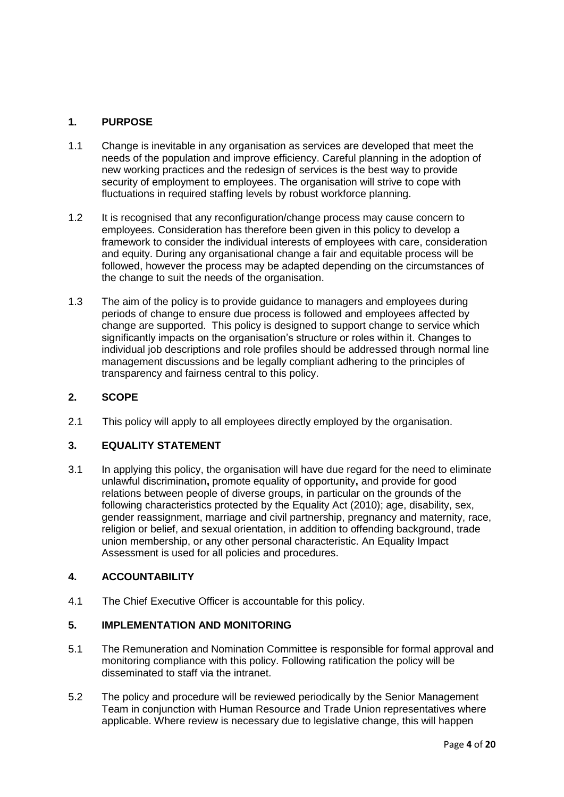## **1. PURPOSE**

- 1.1 Change is inevitable in any organisation as services are developed that meet the needs of the population and improve efficiency. Careful planning in the adoption of new working practices and the redesign of services is the best way to provide security of employment to employees. The organisation will strive to cope with fluctuations in required staffing levels by robust workforce planning.
- 1.2 It is recognised that any reconfiguration/change process may cause concern to employees. Consideration has therefore been given in this policy to develop a framework to consider the individual interests of employees with care, consideration and equity. During any organisational change a fair and equitable process will be followed, however the process may be adapted depending on the circumstances of the change to suit the needs of the organisation.
- 1.3 The aim of the policy is to provide guidance to managers and employees during periods of change to ensure due process is followed and employees affected by change are supported. This policy is designed to support change to service which significantly impacts on the organisation's structure or roles within it. Changes to individual job descriptions and role profiles should be addressed through normal line management discussions and be legally compliant adhering to the principles of transparency and fairness central to this policy.

## **2. SCOPE**

2.1 This policy will apply to all employees directly employed by the organisation.

## **3. EQUALITY STATEMENT**

3.1 In applying this policy, the organisation will have due regard for the need to eliminate unlawful discrimination**,** promote equality of opportunity**,** and provide for good relations between people of diverse groups, in particular on the grounds of the following characteristics protected by the Equality Act (2010); age, disability, sex, gender reassignment, marriage and civil partnership, pregnancy and maternity, race, religion or belief, and sexual orientation, in addition to offending background, trade union membership, or any other personal characteristic. An Equality Impact Assessment is used for all policies and procedures.

#### **4. ACCOUNTABILITY**

4.1 The Chief Executive Officer is accountable for this policy.

#### **5. IMPLEMENTATION AND MONITORING**

- 5.1 The Remuneration and Nomination Committee is responsible for formal approval and monitoring compliance with this policy. Following ratification the policy will be disseminated to staff via the intranet.
- 5.2 The policy and procedure will be reviewed periodically by the Senior Management Team in conjunction with Human Resource and Trade Union representatives where applicable. Where review is necessary due to legislative change, this will happen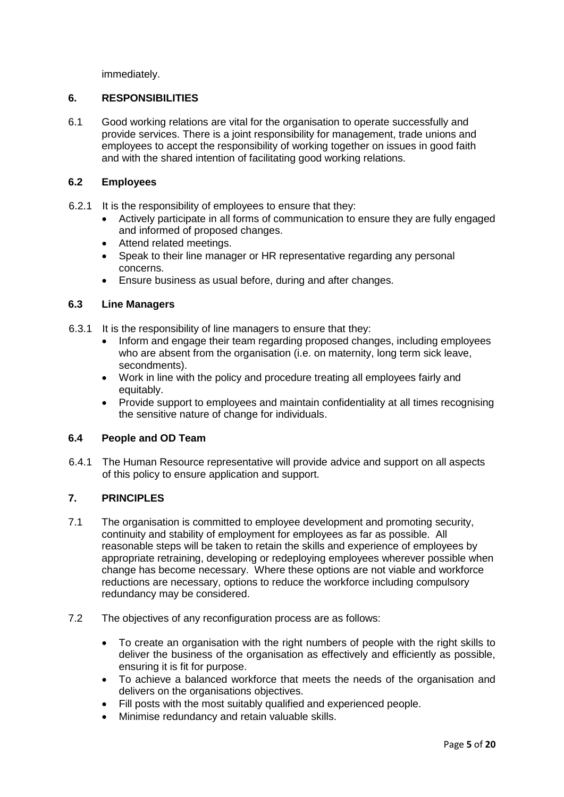immediately.

## **6. RESPONSIBILITIES**

6.1 Good working relations are vital for the organisation to operate successfully and provide services. There is a joint responsibility for management, trade unions and employees to accept the responsibility of working together on issues in good faith and with the shared intention of facilitating good working relations.

## **6.2 Employees**

- 6.2.1 It is the responsibility of employees to ensure that they:
	- Actively participate in all forms of communication to ensure they are fully engaged and informed of proposed changes.
	- Attend related meetings.
	- Speak to their line manager or HR representative regarding any personal concerns.
	- Ensure business as usual before, during and after changes.

#### **6.3 Line Managers**

- 6.3.1 It is the responsibility of line managers to ensure that they:
	- Inform and engage their team regarding proposed changes, including employees who are absent from the organisation (i.e. on maternity, long term sick leave, secondments).
	- Work in line with the policy and procedure treating all employees fairly and equitably.
	- Provide support to employees and maintain confidentiality at all times recognising the sensitive nature of change for individuals.

## **6.4 People and OD Team**

6.4.1 The Human Resource representative will provide advice and support on all aspects of this policy to ensure application and support.

## **7. PRINCIPLES**

- 7.1 The organisation is committed to employee development and promoting security, continuity and stability of employment for employees as far as possible. All reasonable steps will be taken to retain the skills and experience of employees by appropriate retraining, developing or redeploying employees wherever possible when change has become necessary. Where these options are not viable and workforce reductions are necessary, options to reduce the workforce including compulsory redundancy may be considered.
- 7.2 The objectives of any reconfiguration process are as follows:
	- To create an organisation with the right numbers of people with the right skills to deliver the business of the organisation as effectively and efficiently as possible, ensuring it is fit for purpose.
	- To achieve a balanced workforce that meets the needs of the organisation and delivers on the organisations objectives.
	- Fill posts with the most suitably qualified and experienced people.
	- Minimise redundancy and retain valuable skills.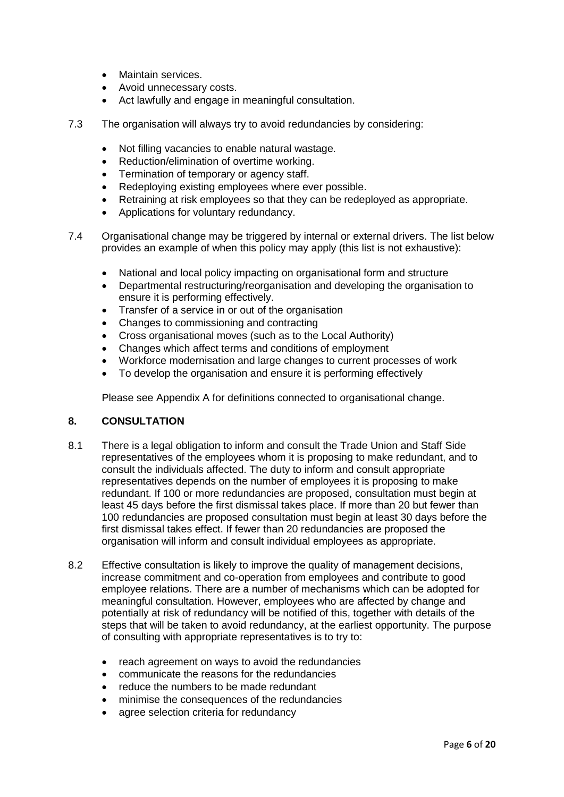- Maintain services.
- Avoid unnecessary costs.
- Act lawfully and engage in meaningful consultation.
- 7.3 The organisation will always try to avoid redundancies by considering:
	- Not filling vacancies to enable natural wastage.
	- Reduction/elimination of overtime working.
	- Termination of temporary or agency staff.
	- Redeploying existing employees where ever possible.
	- Retraining at risk employees so that they can be redeployed as appropriate.
	- Applications for voluntary redundancy.
- 7.4 Organisational change may be triggered by internal or external drivers. The list below provides an example of when this policy may apply (this list is not exhaustive):
	- National and local policy impacting on organisational form and structure
	- Departmental restructuring/reorganisation and developing the organisation to ensure it is performing effectively.
	- Transfer of a service in or out of the organisation
	- Changes to commissioning and contracting
	- Cross organisational moves (such as to the Local Authority)
	- Changes which affect terms and conditions of employment
	- Workforce modernisation and large changes to current processes of work
	- To develop the organisation and ensure it is performing effectively

Please see Appendix A for definitions connected to organisational change.

## **8. CONSULTATION**

- 8.1 There is a legal obligation to inform and consult the Trade Union and Staff Side representatives of the employees whom it is proposing to make redundant, and to consult the individuals affected. The duty to inform and consult appropriate representatives depends on the number of employees it is proposing to make redundant. If 100 or more redundancies are proposed, consultation must begin at least 45 days before the first dismissal takes place. If more than 20 but fewer than 100 redundancies are proposed consultation must begin at least 30 days before the first dismissal takes effect. If fewer than 20 redundancies are proposed the organisation will inform and consult individual employees as appropriate.
- 8.2 Effective consultation is likely to improve the quality of management decisions, increase commitment and co-operation from employees and contribute to good employee relations. There are a number of mechanisms which can be adopted for meaningful consultation. However, employees who are affected by change and potentially at risk of redundancy will be notified of this, together with details of the steps that will be taken to avoid redundancy, at the earliest opportunity. The purpose of consulting with appropriate representatives is to try to:
	- reach agreement on ways to avoid the redundancies
	- communicate the reasons for the redundancies
	- reduce the numbers to be made redundant
	- minimise the consequences of the redundancies
	- agree selection criteria for redundancy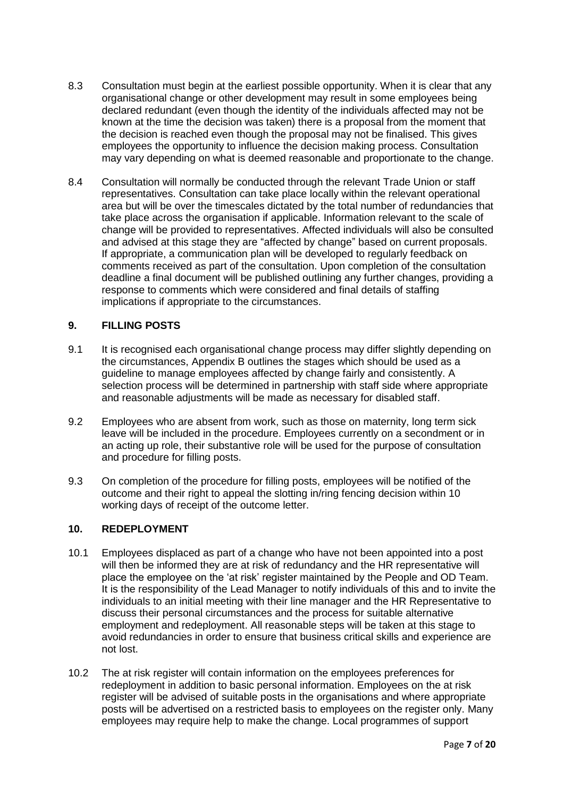- 8.3 Consultation must begin at the earliest possible opportunity. When it is clear that any organisational change or other development may result in some employees being declared redundant (even though the identity of the individuals affected may not be known at the time the decision was taken) there is a proposal from the moment that the decision is reached even though the proposal may not be finalised. This gives employees the opportunity to influence the decision making process. Consultation may vary depending on what is deemed reasonable and proportionate to the change.
- 8.4 Consultation will normally be conducted through the relevant Trade Union or staff representatives. Consultation can take place locally within the relevant operational area but will be over the timescales dictated by the total number of redundancies that take place across the organisation if applicable. Information relevant to the scale of change will be provided to representatives. Affected individuals will also be consulted and advised at this stage they are "affected by change" based on current proposals. If appropriate, a communication plan will be developed to regularly feedback on comments received as part of the consultation. Upon completion of the consultation deadline a final document will be published outlining any further changes, providing a response to comments which were considered and final details of staffing implications if appropriate to the circumstances.

## **9. FILLING POSTS**

- 9.1 It is recognised each organisational change process may differ slightly depending on the circumstances, Appendix B outlines the stages which should be used as a guideline to manage employees affected by change fairly and consistently. A selection process will be determined in partnership with staff side where appropriate and reasonable adjustments will be made as necessary for disabled staff.
- 9.2 Employees who are absent from work, such as those on maternity, long term sick leave will be included in the procedure. Employees currently on a secondment or in an acting up role, their substantive role will be used for the purpose of consultation and procedure for filling posts.
- 9.3 On completion of the procedure for filling posts, employees will be notified of the outcome and their right to appeal the slotting in/ring fencing decision within 10 working days of receipt of the outcome letter.

## **10. REDEPLOYMENT**

- 10.1 Employees displaced as part of a change who have not been appointed into a post will then be informed they are at risk of redundancy and the HR representative will place the employee on the 'at risk' register maintained by the People and OD Team. It is the responsibility of the Lead Manager to notify individuals of this and to invite the individuals to an initial meeting with their line manager and the HR Representative to discuss their personal circumstances and the process for suitable alternative employment and redeployment. All reasonable steps will be taken at this stage to avoid redundancies in order to ensure that business critical skills and experience are not lost.
- 10.2 The at risk register will contain information on the employees preferences for redeployment in addition to basic personal information. Employees on the at risk register will be advised of suitable posts in the organisations and where appropriate posts will be advertised on a restricted basis to employees on the register only. Many employees may require help to make the change. Local programmes of support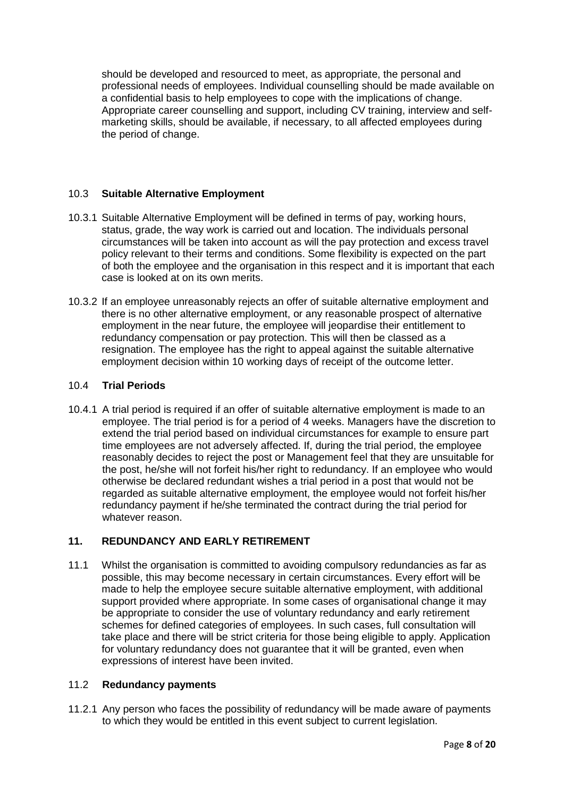should be developed and resourced to meet, as appropriate, the personal and professional needs of employees. Individual counselling should be made available on a confidential basis to help employees to cope with the implications of change. Appropriate career counselling and support, including CV training, interview and selfmarketing skills, should be available, if necessary, to all affected employees during the period of change.

## 10.3 **Suitable Alternative Employment**

- 10.3.1 Suitable Alternative Employment will be defined in terms of pay, working hours, status, grade, the way work is carried out and location. The individuals personal circumstances will be taken into account as will the pay protection and excess travel policy relevant to their terms and conditions. Some flexibility is expected on the part of both the employee and the organisation in this respect and it is important that each case is looked at on its own merits.
- 10.3.2 If an employee unreasonably rejects an offer of suitable alternative employment and there is no other alternative employment, or any reasonable prospect of alternative employment in the near future, the employee will jeopardise their entitlement to redundancy compensation or pay protection. This will then be classed as a resignation. The employee has the right to appeal against the suitable alternative employment decision within 10 working days of receipt of the outcome letter.

## 10.4 **Trial Periods**

10.4.1 A trial period is required if an offer of suitable alternative employment is made to an employee. The trial period is for a period of 4 weeks. Managers have the discretion to extend the trial period based on individual circumstances for example to ensure part time employees are not adversely affected. If, during the trial period, the employee reasonably decides to reject the post or Management feel that they are unsuitable for the post, he/she will not forfeit his/her right to redundancy. If an employee who would otherwise be declared redundant wishes a trial period in a post that would not be regarded as suitable alternative employment, the employee would not forfeit his/her redundancy payment if he/she terminated the contract during the trial period for whatever reason.

## **11. REDUNDANCY AND EARLY RETIREMENT**

11.1 Whilst the organisation is committed to avoiding compulsory redundancies as far as possible, this may become necessary in certain circumstances. Every effort will be made to help the employee secure suitable alternative employment, with additional support provided where appropriate. In some cases of organisational change it may be appropriate to consider the use of voluntary redundancy and early retirement schemes for defined categories of employees. In such cases, full consultation will take place and there will be strict criteria for those being eligible to apply. Application for voluntary redundancy does not guarantee that it will be granted, even when expressions of interest have been invited.

## 11.2 **Redundancy payments**

11.2.1 Any person who faces the possibility of redundancy will be made aware of payments to which they would be entitled in this event subject to current legislation.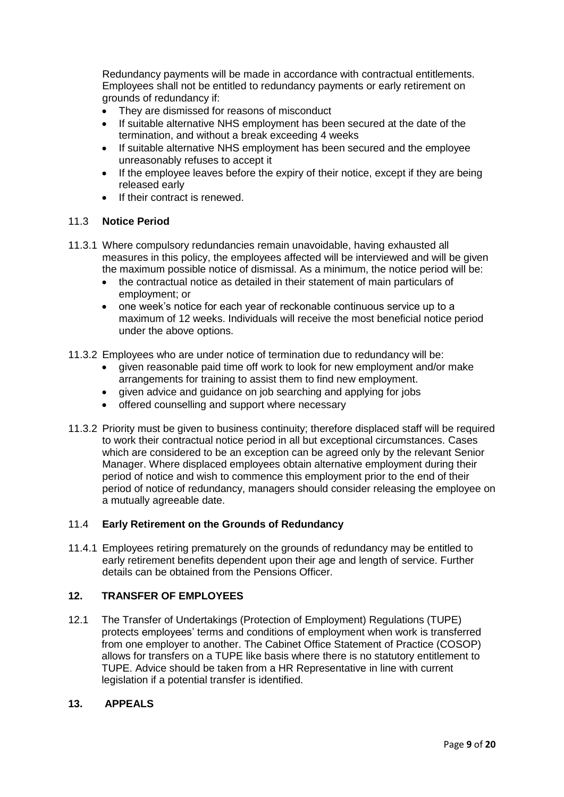Redundancy payments will be made in accordance with contractual entitlements. Employees shall not be entitled to redundancy payments or early retirement on grounds of redundancy if:

- They are dismissed for reasons of misconduct
- If suitable alternative NHS employment has been secured at the date of the termination, and without a break exceeding 4 weeks
- If suitable alternative NHS employment has been secured and the employee unreasonably refuses to accept it
- If the employee leaves before the expiry of their notice, except if they are being released early
- **If their contract is renewed.**

#### 11.3 **Notice Period**

- 11.3.1 Where compulsory redundancies remain unavoidable, having exhausted all measures in this policy, the employees affected will be interviewed and will be given the maximum possible notice of dismissal. As a minimum, the notice period will be:
	- the contractual notice as detailed in their statement of main particulars of employment; or
	- one week's notice for each year of reckonable continuous service up to a maximum of 12 weeks. Individuals will receive the most beneficial notice period under the above options.
- 11.3.2 Employees who are under notice of termination due to redundancy will be:
	- given reasonable paid time off work to look for new employment and/or make arrangements for training to assist them to find new employment.
	- given advice and guidance on job searching and applying for jobs
	- offered counselling and support where necessary
- 11.3.2 Priority must be given to business continuity; therefore displaced staff will be required to work their contractual notice period in all but exceptional circumstances. Cases which are considered to be an exception can be agreed only by the relevant Senior Manager. Where displaced employees obtain alternative employment during their period of notice and wish to commence this employment prior to the end of their period of notice of redundancy, managers should consider releasing the employee on a mutually agreeable date.

## 11.4 **Early Retirement on the Grounds of Redundancy**

11.4.1 Employees retiring prematurely on the grounds of redundancy may be entitled to early retirement benefits dependent upon their age and length of service. Further details can be obtained from the Pensions Officer.

## **12. TRANSFER OF EMPLOYEES**

12.1 The Transfer of Undertakings (Protection of Employment) Regulations (TUPE) protects employees' terms and conditions of employment when work is transferred from one employer to another. The Cabinet Office Statement of Practice (COSOP) allows for transfers on a TUPE like basis where there is no statutory entitlement to TUPE. Advice should be taken from a HR Representative in line with current legislation if a potential transfer is identified.

#### **13. APPEALS**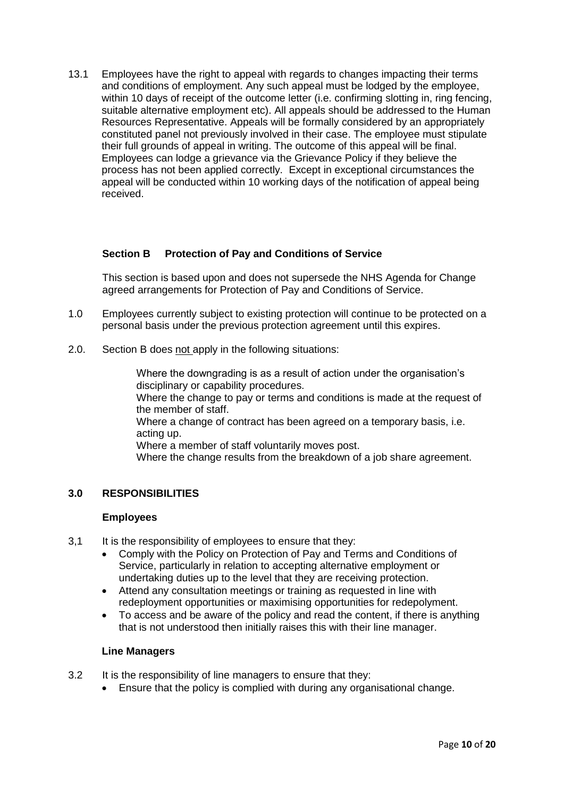13.1 Employees have the right to appeal with regards to changes impacting their terms and conditions of employment. Any such appeal must be lodged by the employee, within 10 days of receipt of the outcome letter (i.e. confirming slotting in, ring fencing, suitable alternative employment etc). All appeals should be addressed to the Human Resources Representative. Appeals will be formally considered by an appropriately constituted panel not previously involved in their case. The employee must stipulate their full grounds of appeal in writing. The outcome of this appeal will be final. Employees can lodge a grievance via the Grievance Policy if they believe the process has not been applied correctly. Except in exceptional circumstances the appeal will be conducted within 10 working days of the notification of appeal being received.

## **Section B Protection of Pay and Conditions of Service**

This section is based upon and does not supersede the NHS Agenda for Change agreed arrangements for Protection of Pay and Conditions of Service.

- 1.0 Employees currently subject to existing protection will continue to be protected on a personal basis under the previous protection agreement until this expires.
- 2.0. Section B does not apply in the following situations:

Where the downgrading is as a result of action under the organisation's disciplinary or capability procedures.

Where the change to pay or terms and conditions is made at the request of the member of staff.

Where a change of contract has been agreed on a temporary basis, i.e. acting up.

Where a member of staff voluntarily moves post.

Where the change results from the breakdown of a job share agreement.

#### **3.0 RESPONSIBILITIES**

#### **Employees**

- 3.1 It is the responsibility of employees to ensure that they:
	- Comply with the Policy on Protection of Pay and Terms and Conditions of Service, particularly in relation to accepting alternative employment or undertaking duties up to the level that they are receiving protection.
	- Attend any consultation meetings or training as requested in line with redeployment opportunities or maximising opportunities for redepolyment.
	- To access and be aware of the policy and read the content, if there is anything that is not understood then initially raises this with their line manager.

#### **Line Managers**

- 3.2 It is the responsibility of line managers to ensure that they:
	- Ensure that the policy is complied with during any organisational change.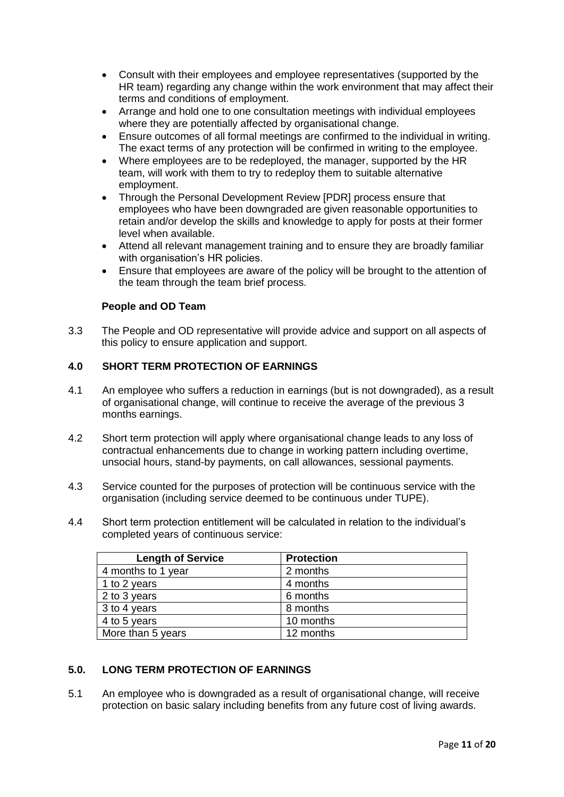- Consult with their employees and employee representatives (supported by the HR team) regarding any change within the work environment that may affect their terms and conditions of employment.
- Arrange and hold one to one consultation meetings with individual employees where they are potentially affected by organisational change.
- Ensure outcomes of all formal meetings are confirmed to the individual in writing. The exact terms of any protection will be confirmed in writing to the employee.
- Where employees are to be redeployed, the manager, supported by the HR team, will work with them to try to redeploy them to suitable alternative employment.
- Through the Personal Development Review [PDR] process ensure that employees who have been downgraded are given reasonable opportunities to retain and/or develop the skills and knowledge to apply for posts at their former level when available.
- Attend all relevant management training and to ensure they are broadly familiar with organisation's HR policies.
- Ensure that employees are aware of the policy will be brought to the attention of the team through the team brief process.

## **People and OD Team**

3.3 The People and OD representative will provide advice and support on all aspects of this policy to ensure application and support.

## **4.0 SHORT TERM PROTECTION OF EARNINGS**

- 4.1 An employee who suffers a reduction in earnings (but is not downgraded), as a result of organisational change, will continue to receive the average of the previous 3 months earnings.
- 4.2 Short term protection will apply where organisational change leads to any loss of contractual enhancements due to change in working pattern including overtime, unsocial hours, stand-by payments, on call allowances, sessional payments.
- 4.3 Service counted for the purposes of protection will be continuous service with the organisation (including service deemed to be continuous under TUPE).
- 4.4 Short term protection entitlement will be calculated in relation to the individual's completed years of continuous service:

| <b>Length of Service</b> | <b>Protection</b> |
|--------------------------|-------------------|
| 4 months to 1 year       | 2 months          |
| 1 to 2 years             | 4 months          |
| 2 to 3 years             | 6 months          |
| 3 to 4 years             | 8 months          |
| 4 to 5 years             | 10 months         |
| More than 5 years        | 12 months         |

## **5.0. LONG TERM PROTECTION OF EARNINGS**

5.1 An employee who is downgraded as a result of organisational change, will receive protection on basic salary including benefits from any future cost of living awards.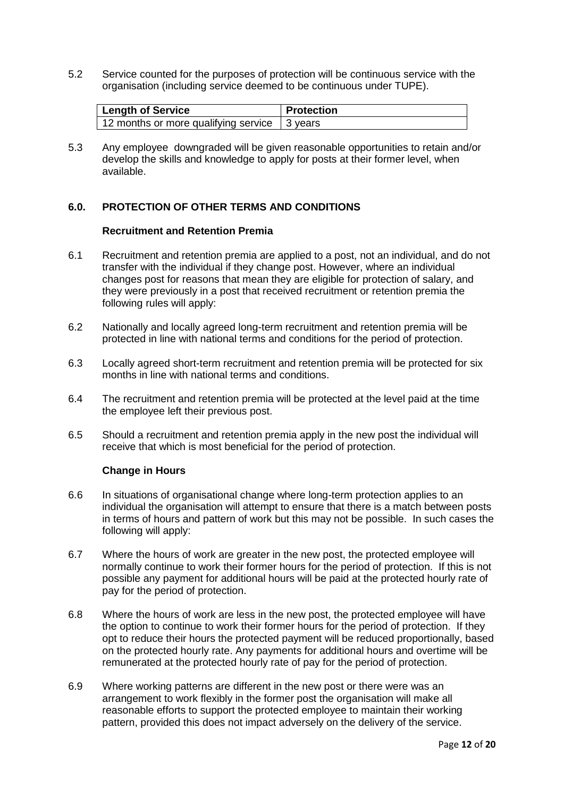5.2 Service counted for the purposes of protection will be continuous service with the organisation (including service deemed to be continuous under TUPE).

| Length of Service                              | <b>Protection</b> |
|------------------------------------------------|-------------------|
| 12 months or more qualifying service 1 3 years |                   |

5.3 Any employee downgraded will be given reasonable opportunities to retain and/or develop the skills and knowledge to apply for posts at their former level, when available.

#### **6.0. PROTECTION OF OTHER TERMS AND CONDITIONS**

#### **Recruitment and Retention Premia**

- 6.1 Recruitment and retention premia are applied to a post, not an individual, and do not transfer with the individual if they change post. However, where an individual changes post for reasons that mean they are eligible for protection of salary, and they were previously in a post that received recruitment or retention premia the following rules will apply:
- 6.2 Nationally and locally agreed long-term recruitment and retention premia will be protected in line with national terms and conditions for the period of protection.
- 6.3 Locally agreed short-term recruitment and retention premia will be protected for six months in line with national terms and conditions.
- 6.4 The recruitment and retention premia will be protected at the level paid at the time the employee left their previous post.
- 6.5 Should a recruitment and retention premia apply in the new post the individual will receive that which is most beneficial for the period of protection.

#### **Change in Hours**

- 6.6 In situations of organisational change where long-term protection applies to an individual the organisation will attempt to ensure that there is a match between posts in terms of hours and pattern of work but this may not be possible. In such cases the following will apply:
- 6.7 Where the hours of work are greater in the new post, the protected employee will normally continue to work their former hours for the period of protection. If this is not possible any payment for additional hours will be paid at the protected hourly rate of pay for the period of protection.
- 6.8 Where the hours of work are less in the new post, the protected employee will have the option to continue to work their former hours for the period of protection. If they opt to reduce their hours the protected payment will be reduced proportionally, based on the protected hourly rate. Any payments for additional hours and overtime will be remunerated at the protected hourly rate of pay for the period of protection.
- 6.9 Where working patterns are different in the new post or there were was an arrangement to work flexibly in the former post the organisation will make all reasonable efforts to support the protected employee to maintain their working pattern, provided this does not impact adversely on the delivery of the service.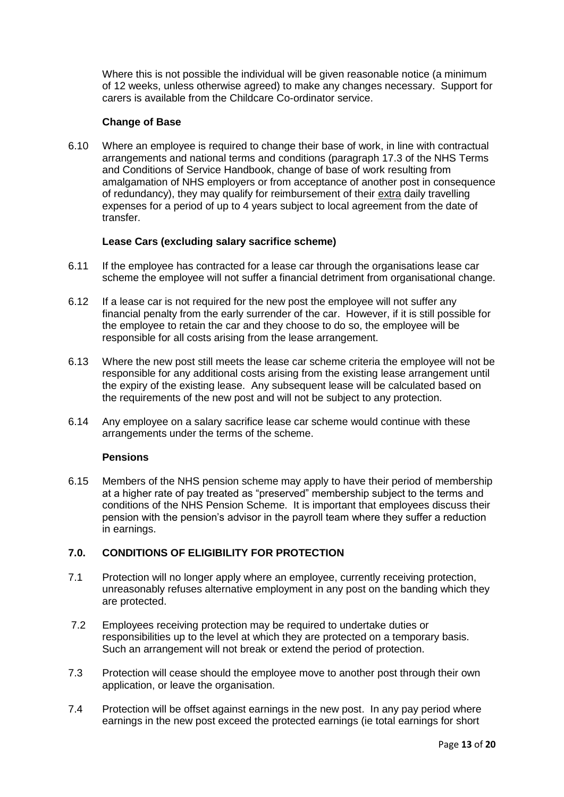Where this is not possible the individual will be given reasonable notice (a minimum of 12 weeks, unless otherwise agreed) to make any changes necessary. Support for carers is available from the Childcare Co-ordinator service.

#### **Change of Base**

6.10 Where an employee is required to change their base of work, in line with contractual arrangements and national terms and conditions (paragraph 17.3 of the NHS Terms and Conditions of Service Handbook, change of base of work resulting from amalgamation of NHS employers or from acceptance of another post in consequence of redundancy), they may qualify for reimbursement of their extra daily travelling expenses for a period of up to 4 years subject to local agreement from the date of transfer.

#### **Lease Cars (excluding salary sacrifice scheme)**

- 6.11 If the employee has contracted for a lease car through the organisations lease car scheme the employee will not suffer a financial detriment from organisational change.
- 6.12 If a lease car is not required for the new post the employee will not suffer any financial penalty from the early surrender of the car. However, if it is still possible for the employee to retain the car and they choose to do so, the employee will be responsible for all costs arising from the lease arrangement.
- 6.13 Where the new post still meets the lease car scheme criteria the employee will not be responsible for any additional costs arising from the existing lease arrangement until the expiry of the existing lease. Any subsequent lease will be calculated based on the requirements of the new post and will not be subject to any protection.
- 6.14 Any employee on a salary sacrifice lease car scheme would continue with these arrangements under the terms of the scheme.

#### **Pensions**

6.15 Members of the NHS pension scheme may apply to have their period of membership at a higher rate of pay treated as "preserved" membership subject to the terms and conditions of the NHS Pension Scheme. It is important that employees discuss their pension with the pension's advisor in the payroll team where they suffer a reduction in earnings.

## **7.0. CONDITIONS OF ELIGIBILITY FOR PROTECTION**

- 7.1 Protection will no longer apply where an employee, currently receiving protection, unreasonably refuses alternative employment in any post on the banding which they are protected.
- 7.2 Employees receiving protection may be required to undertake duties or responsibilities up to the level at which they are protected on a temporary basis. Such an arrangement will not break or extend the period of protection.
- 7.3 Protection will cease should the employee move to another post through their own application, or leave the organisation.
- 7.4 Protection will be offset against earnings in the new post. In any pay period where earnings in the new post exceed the protected earnings (ie total earnings for short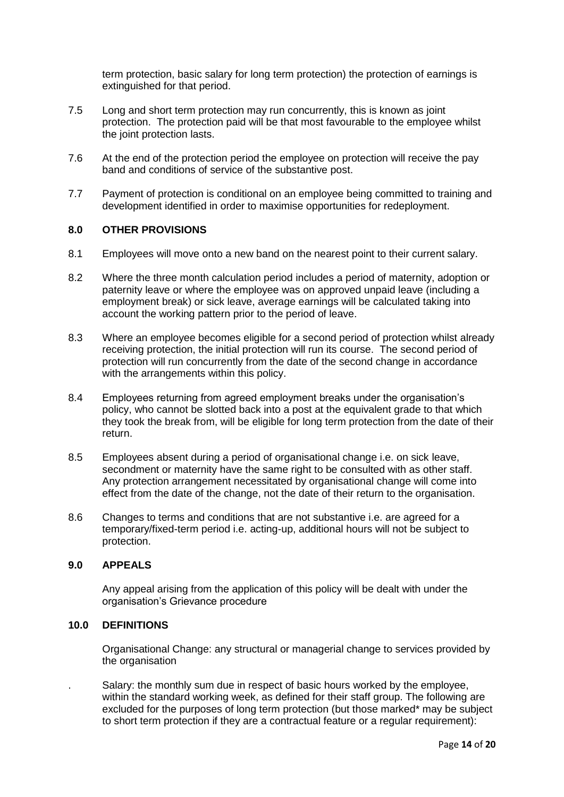term protection, basic salary for long term protection) the protection of earnings is extinguished for that period.

- 7.5 Long and short term protection may run concurrently, this is known as joint protection. The protection paid will be that most favourable to the employee whilst the joint protection lasts.
- 7.6 At the end of the protection period the employee on protection will receive the pay band and conditions of service of the substantive post.
- 7.7 Payment of protection is conditional on an employee being committed to training and development identified in order to maximise opportunities for redeployment.

## **8.0 OTHER PROVISIONS**

- 8.1 Employees will move onto a new band on the nearest point to their current salary.
- 8.2 Where the three month calculation period includes a period of maternity, adoption or paternity leave or where the employee was on approved unpaid leave (including a employment break) or sick leave, average earnings will be calculated taking into account the working pattern prior to the period of leave.
- 8.3 Where an employee becomes eligible for a second period of protection whilst already receiving protection, the initial protection will run its course. The second period of protection will run concurrently from the date of the second change in accordance with the arrangements within this policy.
- 8.4 Employees returning from agreed employment breaks under the organisation's policy, who cannot be slotted back into a post at the equivalent grade to that which they took the break from, will be eligible for long term protection from the date of their return.
- 8.5 Employees absent during a period of organisational change i.e. on sick leave, secondment or maternity have the same right to be consulted with as other staff. Any protection arrangement necessitated by organisational change will come into effect from the date of the change, not the date of their return to the organisation.
- 8.6 Changes to terms and conditions that are not substantive i.e. are agreed for a temporary/fixed-term period i.e. acting-up, additional hours will not be subject to protection.

#### **9.0 APPEALS**

Any appeal arising from the application of this policy will be dealt with under the organisation's Grievance procedure

#### **10.0 DEFINITIONS**

Organisational Change: any structural or managerial change to services provided by the organisation

. Salary: the monthly sum due in respect of basic hours worked by the employee, within the standard working week, as defined for their staff group. The following are excluded for the purposes of long term protection (but those marked\* may be subject to short term protection if they are a contractual feature or a regular requirement):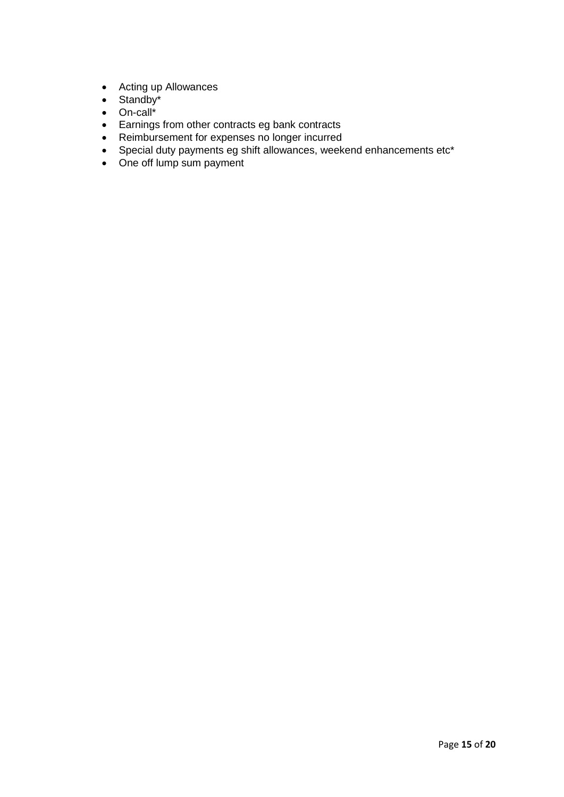- Acting up Allowances
- $\bullet$  Standby\*
- On-call\*
- Earnings from other contracts eg bank contracts
- Reimbursement for expenses no longer incurred
- Special duty payments eg shift allowances, weekend enhancements etc\*
- One off lump sum payment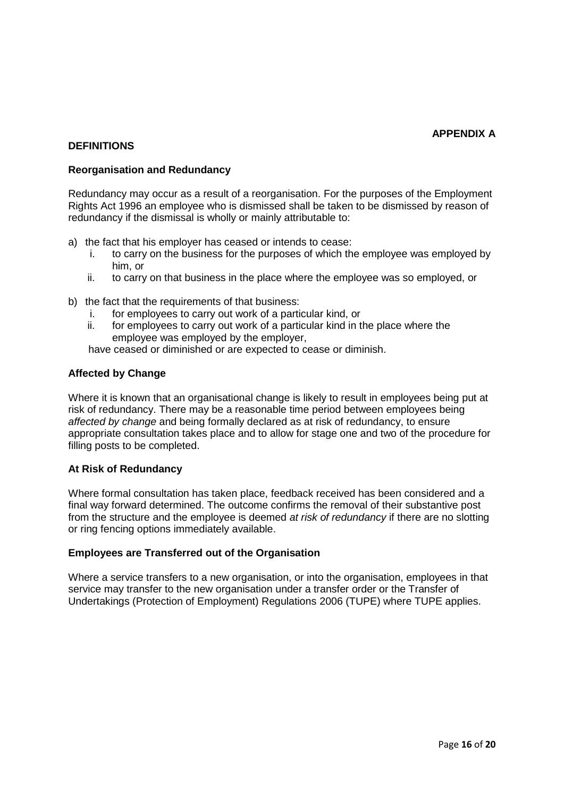## **DEFINITIONS**

## **Reorganisation and Redundancy**

Redundancy may occur as a result of a reorganisation. For the purposes of the Employment Rights Act 1996 an employee who is dismissed shall be taken to be dismissed by reason of redundancy if the dismissal is wholly or mainly attributable to:

- a) the fact that his employer has ceased or intends to cease:
	- i. to carry on the business for the purposes of which the employee was employed by him, or
	- ii. to carry on that business in the place where the employee was so employed, or
- b) the fact that the requirements of that business:
	- i. for employees to carry out work of a particular kind, or
	- ii. for employees to carry out work of a particular kind in the place where the employee was employed by the employer,
	- have ceased or diminished or are expected to cease or diminish.

#### **Affected by Change**

Where it is known that an organisational change is likely to result in employees being put at risk of redundancy. There may be a reasonable time period between employees being *affected by change* and being formally declared as at risk of redundancy, to ensure appropriate consultation takes place and to allow for stage one and two of the procedure for filling posts to be completed.

#### **At Risk of Redundancy**

Where formal consultation has taken place, feedback received has been considered and a final way forward determined. The outcome confirms the removal of their substantive post from the structure and the employee is deemed *at risk of redundancy* if there are no slotting or ring fencing options immediately available.

#### **Employees are Transferred out of the Organisation**

Where a service transfers to a new organisation, or into the organisation, employees in that service may transfer to the new organisation under a transfer order or the Transfer of Undertakings (Protection of Employment) Regulations 2006 (TUPE) where TUPE applies.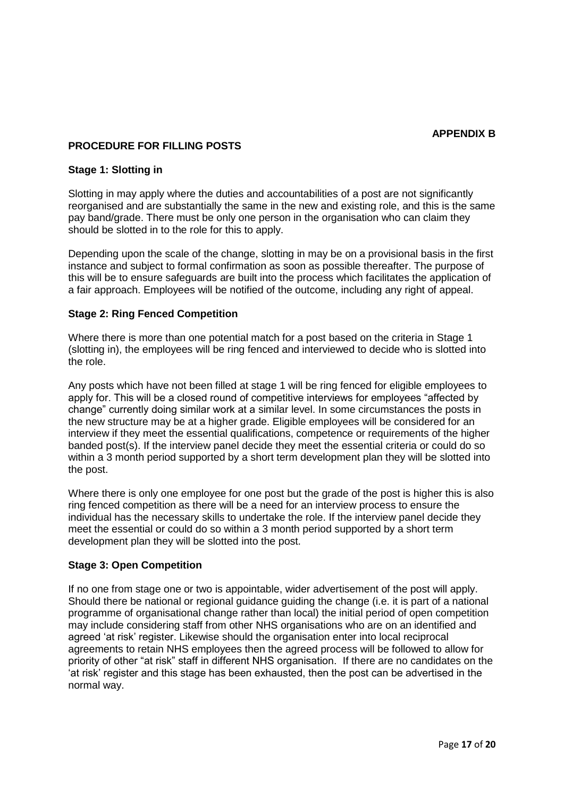## **PROCEDURE FOR FILLING POSTS**

## **Stage 1: Slotting in**

Slotting in may apply where the duties and accountabilities of a post are not significantly reorganised and are substantially the same in the new and existing role, and this is the same pay band/grade. There must be only one person in the organisation who can claim they should be slotted in to the role for this to apply.

Depending upon the scale of the change, slotting in may be on a provisional basis in the first instance and subject to formal confirmation as soon as possible thereafter. The purpose of this will be to ensure safeguards are built into the process which facilitates the application of a fair approach. Employees will be notified of the outcome, including any right of appeal.

#### **Stage 2: Ring Fenced Competition**

Where there is more than one potential match for a post based on the criteria in Stage 1 (slotting in), the employees will be ring fenced and interviewed to decide who is slotted into the role.

Any posts which have not been filled at stage 1 will be ring fenced for eligible employees to apply for. This will be a closed round of competitive interviews for employees "affected by change" currently doing similar work at a similar level. In some circumstances the posts in the new structure may be at a higher grade. Eligible employees will be considered for an interview if they meet the essential qualifications, competence or requirements of the higher banded post(s). If the interview panel decide they meet the essential criteria or could do so within a 3 month period supported by a short term development plan they will be slotted into the post.

Where there is only one employee for one post but the grade of the post is higher this is also ring fenced competition as there will be a need for an interview process to ensure the individual has the necessary skills to undertake the role. If the interview panel decide they meet the essential or could do so within a 3 month period supported by a short term development plan they will be slotted into the post.

## **Stage 3: Open Competition**

If no one from stage one or two is appointable, wider advertisement of the post will apply. Should there be national or regional guidance guiding the change (i.e. it is part of a national programme of organisational change rather than local) the initial period of open competition may include considering staff from other NHS organisations who are on an identified and agreed 'at risk' register. Likewise should the organisation enter into local reciprocal agreements to retain NHS employees then the agreed process will be followed to allow for priority of other "at risk" staff in different NHS organisation. If there are no candidates on the 'at risk' register and this stage has been exhausted, then the post can be advertised in the normal way.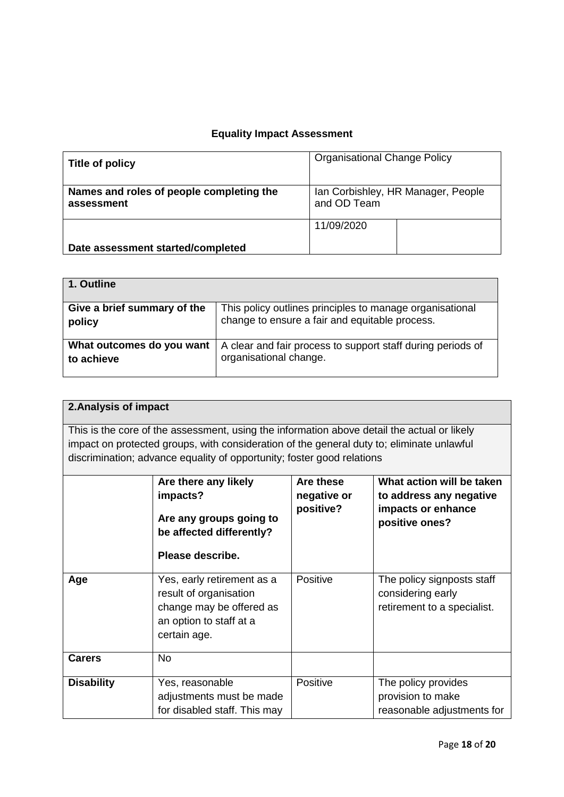## **Equality Impact Assessment**

| Title of policy                                        | <b>Organisational Change Policy</b>               |  |
|--------------------------------------------------------|---------------------------------------------------|--|
| Names and roles of people completing the<br>assessment | Ian Corbishley, HR Manager, People<br>and OD Team |  |
|                                                        | 11/09/2020                                        |  |
| Date assessment started/completed                      |                                                   |  |

| 1. Outline                  |                                                             |
|-----------------------------|-------------------------------------------------------------|
| Give a brief summary of the | This policy outlines principles to manage organisational    |
| policy                      | change to ensure a fair and equitable process.              |
| What outcomes do you want   | A clear and fair process to support staff during periods of |
| to achieve                  | organisational change.                                      |

|                                                                                                                                                                                                                                                                    | 2. Analysis of impact                                                                                                       |                 |                                                                                |  |  |
|--------------------------------------------------------------------------------------------------------------------------------------------------------------------------------------------------------------------------------------------------------------------|-----------------------------------------------------------------------------------------------------------------------------|-----------------|--------------------------------------------------------------------------------|--|--|
| This is the core of the assessment, using the information above detail the actual or likely<br>impact on protected groups, with consideration of the general duty to; eliminate unlawful<br>discrimination; advance equality of opportunity; foster good relations |                                                                                                                             |                 |                                                                                |  |  |
| What action will be taken<br>Are these<br>Are there any likely<br>impacts?<br>negative or<br>to address any negative<br>positive?<br>impacts or enhance<br>Are any groups going to<br>positive ones?<br>be affected differently?<br>Please describe.               |                                                                                                                             |                 |                                                                                |  |  |
| Age                                                                                                                                                                                                                                                                | Yes, early retirement as a<br>result of organisation<br>change may be offered as<br>an option to staff at a<br>certain age. | <b>Positive</b> | The policy signposts staff<br>considering early<br>retirement to a specialist. |  |  |
| <b>Carers</b>                                                                                                                                                                                                                                                      | <b>No</b>                                                                                                                   |                 |                                                                                |  |  |
| <b>Disability</b>                                                                                                                                                                                                                                                  | Yes, reasonable<br>adjustments must be made<br>for disabled staff. This may                                                 | Positive        | The policy provides<br>provision to make<br>reasonable adjustments for         |  |  |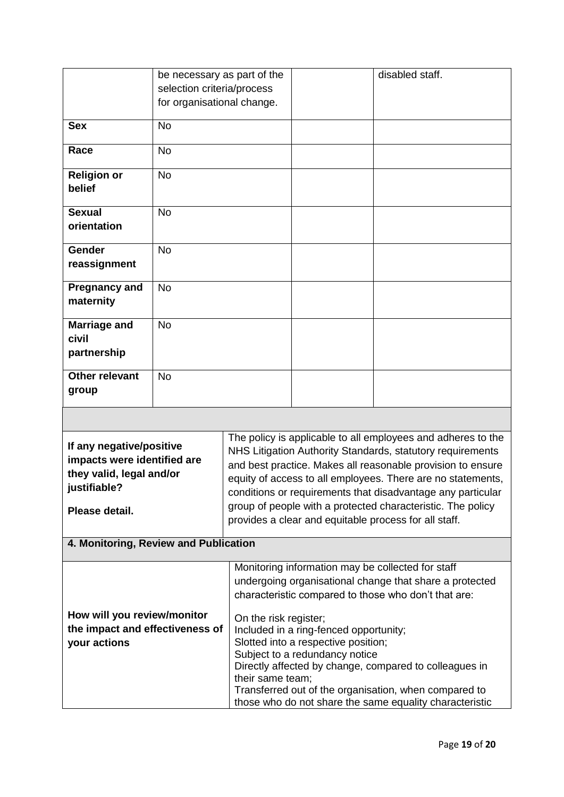|                                                                                                                                                                      | be necessary as part of the                              |                                           |                                                                                                                                                                                                                                                                                                                                                                                                                                                 | disabled staff.                                                                                                                                                            |  |
|----------------------------------------------------------------------------------------------------------------------------------------------------------------------|----------------------------------------------------------|-------------------------------------------|-------------------------------------------------------------------------------------------------------------------------------------------------------------------------------------------------------------------------------------------------------------------------------------------------------------------------------------------------------------------------------------------------------------------------------------------------|----------------------------------------------------------------------------------------------------------------------------------------------------------------------------|--|
|                                                                                                                                                                      | selection criteria/process<br>for organisational change. |                                           |                                                                                                                                                                                                                                                                                                                                                                                                                                                 |                                                                                                                                                                            |  |
|                                                                                                                                                                      |                                                          |                                           |                                                                                                                                                                                                                                                                                                                                                                                                                                                 |                                                                                                                                                                            |  |
| <b>Sex</b>                                                                                                                                                           | <b>No</b>                                                |                                           |                                                                                                                                                                                                                                                                                                                                                                                                                                                 |                                                                                                                                                                            |  |
| Race                                                                                                                                                                 | <b>No</b>                                                |                                           |                                                                                                                                                                                                                                                                                                                                                                                                                                                 |                                                                                                                                                                            |  |
| <b>Religion or</b><br>belief                                                                                                                                         | <b>No</b>                                                |                                           |                                                                                                                                                                                                                                                                                                                                                                                                                                                 |                                                                                                                                                                            |  |
| <b>Sexual</b><br>orientation                                                                                                                                         | <b>No</b>                                                |                                           |                                                                                                                                                                                                                                                                                                                                                                                                                                                 |                                                                                                                                                                            |  |
| Gender<br>reassignment                                                                                                                                               | <b>No</b>                                                |                                           |                                                                                                                                                                                                                                                                                                                                                                                                                                                 |                                                                                                                                                                            |  |
| <b>Pregnancy and</b><br>maternity                                                                                                                                    | <b>No</b>                                                |                                           |                                                                                                                                                                                                                                                                                                                                                                                                                                                 |                                                                                                                                                                            |  |
| <b>Marriage and</b><br>civil<br>partnership                                                                                                                          | <b>No</b>                                                |                                           |                                                                                                                                                                                                                                                                                                                                                                                                                                                 |                                                                                                                                                                            |  |
| <b>Other relevant</b><br>group                                                                                                                                       | <b>No</b>                                                |                                           |                                                                                                                                                                                                                                                                                                                                                                                                                                                 |                                                                                                                                                                            |  |
|                                                                                                                                                                      |                                                          |                                           |                                                                                                                                                                                                                                                                                                                                                                                                                                                 |                                                                                                                                                                            |  |
| If any negative/positive<br>impacts were identified are<br>they valid, legal and/or<br>justifiable?<br>Please detail.                                                |                                                          |                                           | The policy is applicable to all employees and adheres to the<br>NHS Litigation Authority Standards, statutory requirements<br>and best practice. Makes all reasonable provision to ensure<br>equity of access to all employees. There are no statements,<br>conditions or requirements that disadvantage any particular<br>group of people with a protected characteristic. The policy<br>provides a clear and equitable process for all staff. |                                                                                                                                                                            |  |
| 4. Monitoring, Review and Publication                                                                                                                                |                                                          |                                           |                                                                                                                                                                                                                                                                                                                                                                                                                                                 |                                                                                                                                                                            |  |
| Monitoring information may be collected for staff<br>undergoing organisational change that share a protected<br>characteristic compared to those who don't that are: |                                                          |                                           |                                                                                                                                                                                                                                                                                                                                                                                                                                                 |                                                                                                                                                                            |  |
| How will you review/monitor<br>the impact and effectiveness of<br>your actions                                                                                       |                                                          | On the risk register;<br>their same team; | Included in a ring-fenced opportunity;<br>Slotted into a respective position;<br>Subject to a redundancy notice                                                                                                                                                                                                                                                                                                                                 | Directly affected by change, compared to colleagues in<br>Transferred out of the organisation, when compared to<br>those who do not share the same equality characteristic |  |